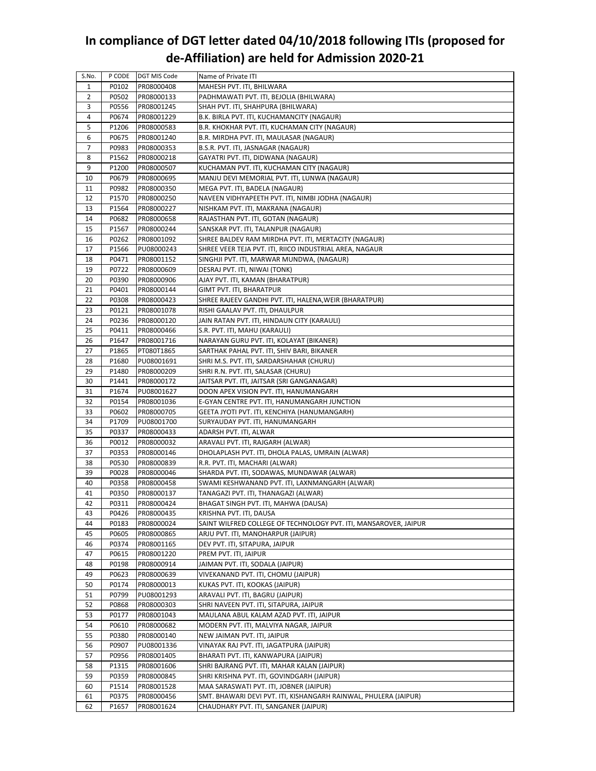## **In compliance of DGT letter dated 04/10/2018 following ITIs (proposed for de‐Affiliation) are held for Admission 2020‐21**

| S.No.    | P CODE         | DGT MIS Code             | Name of Private ITI                                                     |
|----------|----------------|--------------------------|-------------------------------------------------------------------------|
| 1        | P0102          | PR08000408               | MAHESH PVT. ITI, BHILWARA                                               |
| 2        | P0502          | PR08000133               | PADHMAWATI PVT. ITI, BEJOLIA (BHILWARA)                                 |
| 3        | P0556          | PR08001245               | SHAH PVT. ITI, SHAHPURA (BHILWARA)                                      |
| 4        | P0674          | PR08001229               | B.K. BIRLA PVT. ITI, KUCHAMANCITY (NAGAUR)                              |
| 5        | P1206          | PR08000583               | B.R. KHOKHAR PVT. ITI, KUCHAMAN CITY (NAGAUR)                           |
| 6        | P0675          | PR08001240               | B.R. MIRDHA PVT. ITI, MAULASAR (NAGAUR)                                 |
| 7        | P0983          | PR08000353               | B.S.R. PVT. ITI, JASNAGAR (NAGAUR)                                      |
| 8        | P1562          | PR08000218               | GAYATRI PVT. ITI, DIDWANA (NAGAUR)                                      |
| 9        | P1200          | PR08000507               | KUCHAMAN PVT. ITI, KUCHAMAN CITY (NAGAUR)                               |
| 10       | P0679          | PR08000695               | MANJU DEVI MEMORIAL PVT. ITI, LUNWA (NAGAUR)                            |
| 11       | P0982          | PR08000350               | MEGA PVT. ITI, BADELA (NAGAUR)                                          |
| 12       | P1570          | PR08000250               | NAVEEN VIDHYAPEETH PVT. ITI, NIMBI JODHA (NAGAUR)                       |
| 13       | P1564          | PR08000227               | NISHKAM PVT. ITI, MAKRANA (NAGAUR)                                      |
| 14       | P0682          | PR08000658               | RAJASTHAN PVT. ITI, GOTAN (NAGAUR)                                      |
| 15       | P1567          | PR08000244               | SANSKAR PVT. ITI, TALANPUR (NAGAUR)                                     |
| 16       | P0262          | PR08001092               | SHREE BALDEV RAM MIRDHA PVT. ITI, MERTACITY (NAGAUR)                    |
| 17       | P1566          | PU08000243               | SHREE VEER TEJA PVT. ITI, RIICO INDUSTRIAL AREA, NAGAUR                 |
| 18       | P0471          | PR08001152               | SINGHJI PVT. ITI, MARWAR MUNDWA, (NAGAUR)                               |
| 19       | P0722          | PR08000609               | DESRAJ PVT. ITI, NIWAI (TONK)                                           |
| 20       | P0390          | PR08000906               | AJAY PVT. ITI, KAMAN (BHARATPUR)                                        |
| 21       | P0401          | PR08000144               | GIMT PVT. ITI, BHARATPUR                                                |
| 22       | P0308          | PR08000423               | SHREE RAJEEV GANDHI PVT. ITI, HALENA, WEIR (BHARATPUR)                  |
| 23       | P0121          | PR08001078               | RISHI GAALAV PVT. ITI, DHAULPUR                                         |
| 24       | P0236          | PR08000120               | JAIN RATAN PVT. ITI, HINDAUN CITY (KARAULI)                             |
| 25       | P0411          | PR08000466               | S.R. PVT. ITI, MAHU (KARAULI)                                           |
| 26       | P1647          | PR08001716               | NARAYAN GURU PVT. ITI, KOLAYAT (BIKANER)                                |
| 27       | P1865          | PT080T1865               | SARTHAK PAHAL PVT. ITI, SHIV BARI, BIKANER                              |
| 28       | P1680          | PU08001691               | SHRI M.S. PVT. ITI, SARDARSHAHAR (CHURU)                                |
| 29       | P1480          | PR08000209               | SHRI R.N. PVT. ITI, SALASAR (CHURU)                                     |
| 30       | P1441          | PR08000172               | JAITSAR PVT. ITI, JAITSAR (SRI GANGANAGAR)                              |
| 31       | P1674          | PU08001627               | DOON APEX VISION PVT. ITI, HANUMANGARH                                  |
| 32       | P0154          | PR08001036               | E-GYAN CENTRE PVT. ITI, HANUMANGARH JUNCTION                            |
| 33       | P0602          | PR08000705               | GEETA JYOTI PVT. ITI, KENCHIYA (HANUMANGARH)                            |
| 34       | P1709          | PU08001700               | SURYAUDAY PVT. ITI, HANUMANGARH                                         |
| 35       | P0337          | PR08000433               | ADARSH PVT. ITI, ALWAR                                                  |
| 36       | P0012          | PR08000032               | ARAVALI PVT. ITI, RAJGARH (ALWAR)                                       |
| 37       | P0353          | PR08000146               | DHOLAPLASH PVT. ITI, DHOLA PALAS, UMRAIN (ALWAR)                        |
| 38       | P0530          | PR08000839               | R.R. PVT. ITI, MACHARI (ALWAR)                                          |
| 39       | P0028          | PR08000046               | SHARDA PVT. ITI, SODAWAS, MUNDAWAR (ALWAR)                              |
| 40       | P0358          | PR08000458               | SWAMI KESHWANAND PVT. ITI, LAXNMANGARH (ALWAR)                          |
| 41       | P0350          | PR08000137               | TANAGAZI PVT. ITI, THANAGAZI (ALWAR)                                    |
| 42       |                |                          |                                                                         |
| 43       | P0311<br>P0426 | PR08000424<br>PR08000435 | BHAGAT SINGH PVT. ITI, MAHWA (DAUSA)<br>KRISHNA PVT. ITI, DAUSA         |
| 44       | P0183          |                          | SAINT WILFRED COLLEGE OF TECHNOLOGY PVT. ITI, MANSAROVER, JAIPUR        |
| 45       | P0605          | PR08000024               |                                                                         |
| 46       | P0374          | PR08000865<br>PR08001165 | ARJU PVT. ITI, MANOHARPUR (JAIPUR)<br>DEV PVT. ITI, SITAPURA, JAIPUR    |
| 47       |                |                          |                                                                         |
|          | P0615          | PR08001220               | PREM PVT. ITI, JAIPUR                                                   |
| 48<br>49 | P0198          | PR08000914               | JAIMAN PVT. ITI, SODALA (JAIPUR)<br>VIVEKANAND PVT. ITI, CHOMU (JAIPUR) |
|          | P0623          | PR08000639               |                                                                         |
| 50       | P0174          | PR08000013               | KUKAS PVT. ITI, KOOKAS (JAIPUR)                                         |
| 51       | P0799          | PU08001293               | ARAVALI PVT. ITI, BAGRU (JAIPUR)                                        |
| 52       | P0868          | PR08000303               | SHRI NAVEEN PVT. ITI, SITAPURA, JAIPUR                                  |
| 53       | P0177          | PR08001043               | MAULANA ABUL KALAM AZAD PVT. ITI, JAIPUR                                |
| 54       | P0610          | PR08000682               | MODERN PVT. ITI, MALVIYA NAGAR, JAIPUR                                  |
| 55       | P0380          | PR08000140               | NEW JAIMAN PVT. ITI, JAIPUR                                             |
| 56       | P0907          | PU08001336               | VINAYAK RAJ PVT. ITI, JAGATPURA (JAIPUR)                                |
| 57       | P0956          | PR08001405               | BHARATI PVT. ITI, KANWAPURA (JAIPUR)                                    |
| 58       | P1315          | PR08001606               | SHRI BAJRANG PVT. ITI, MAHAR KALAN (JAIPUR)                             |
| 59       | P0359          | PR08000845               | SHRI KRISHNA PVT. ITI, GOVINDGARH (JAIPUR)                              |
| 60       | P1514          | PR08001528               | MAA SARASWATI PVT. ITI, JOBNER (JAIPUR)                                 |
| 61       | P0375          | PR08000456               | SMT. BHAWARI DEVI PVT. ITI, KISHANGARH RAINWAL, PHULERA (JAIPUR)        |
| 62       | P1657          | PR08001624               | CHAUDHARY PVT. ITI, SANGANER (JAIPUR)                                   |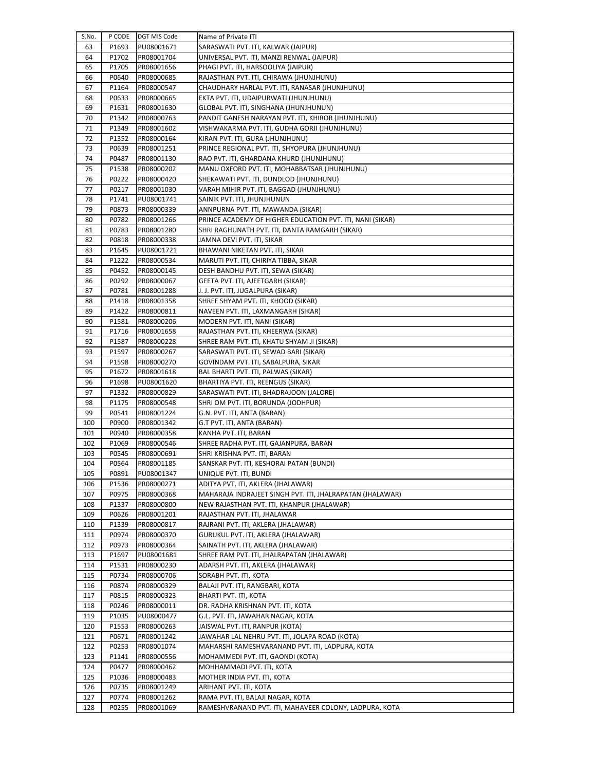| S.No.    | P CODE | DGT MIS Code | Name of Private ITI                                       |
|----------|--------|--------------|-----------------------------------------------------------|
| 63       | P1693  | PU08001671   | SARASWATI PVT. ITI, KALWAR (JAIPUR)                       |
| 64       | P1702  | PR08001704   | UNIVERSAL PVT. ITI, MANZI RENWAL (JAIPUR)                 |
| 65       | P1705  | PR08001656   | PHAGI PVT. ITI, HARSOOLIYA (JAIPUR)                       |
| 66       | P0640  | PR08000685   | RAJASTHAN PVT. ITI, CHIRAWA (JHUNJHUNU)                   |
| 67       | P1164  | PR08000547   | CHAUDHARY HARLAL PVT. ITI, RANASAR (JHUNJHUNU)            |
| 68       | P0633  | PR08000665   | EKTA PVT. ITI, UDAIPURWATI (JHUNJHUNU)                    |
| 69       | P1631  | PR08001630   | GLOBAL PVT. ITI, SINGHANA (JHUNJHUNUN)                    |
| 70       | P1342  | PR08000763   | PANDIT GANESH NARAYAN PVT. ITI, KHIROR (JHUNJHUNU)        |
| 71       | P1349  | PR08001602   | VISHWAKARMA PVT. ITI, GUDHA GORJI (JHUNJHUNU)             |
| 72       | P1352  | PR08000164   | KIRAN PVT. ITI, GURA (JHUNJHUNU)                          |
| 73       | P0639  | PR08001251   | PRINCE REGIONAL PVT. ITI, SHYOPURA (JHUNJHUNU)            |
| 74       | P0487  | PR08001130   | RAO PVT. ITI, GHARDANA KHURD (JHUNJHUNU)                  |
|          | P1538  | PR08000202   | MANU OXFORD PVT. ITI, MOHABBATSAR (JHUNJHUNU)             |
| 75<br>76 | P0222  |              |                                                           |
|          |        | PR08000420   | SHEKAWATI PVT. ITI, DUNDLOD (JHUNJHUNU)                   |
| 77       | P0217  | PR08001030   | VARAH MIHIR PVT. ITI, BAGGAD (JHUNJHUNU)                  |
| 78       | P1741  | PU08001741   | SAINIK PVT. ITI, JHUNJHUNUN                               |
| 79       | P0873  | PR08000339   | ANNPURNA PVT. ITI, MAWANDA (SIKAR)                        |
| 80       | P0782  | PR08001266   | PRINCE ACADEMY OF HIGHER EDUCATION PVT. ITI, NANI (SIKAR) |
| 81       | P0783  | PR08001280   | SHRI RAGHUNATH PVT. ITI, DANTA RAMGARH (SIKAR)            |
| 82       | P0818  | PR08000338   | JAMNA DEVI PVT. ITI, SIKAR                                |
| 83       | P1645  | PU08001721   | BHAWANI NIKETAN PVT. ITI, SIKAR                           |
| 84       | P1222  | PR08000534   | MARUTI PVT. ITI, CHIRIYA TIBBA, SIKAR                     |
| 85       | P0452  | PR08000145   | DESH BANDHU PVT. ITI, SEWA (SIKAR)                        |
| 86       | P0292  | PR08000067   | GEETA PVT. ITI, AJEETGARH (SIKAR)                         |
| 87       | P0781  | PR08001288   | J. J. PVT. ITI, JUGALPURA (SIKAR)                         |
| 88       | P1418  | PR08001358   | SHREE SHYAM PVT. ITI, KHOOD (SIKAR)                       |
| 89       | P1422  | PR08000811   | NAVEEN PVT. ITI, LAXMANGARH (SIKAR)                       |
| 90       | P1581  | PR08000206   | MODERN PVT. ITI, NANI (SIKAR)                             |
| 91       | P1716  | PR08001658   | RAJASTHAN PVT. ITI, KHEERWA (SIKAR)                       |
| 92       | P1587  | PR08000228   | SHREE RAM PVT. ITI, KHATU SHYAM JI (SIKAR)                |
| 93       | P1597  | PR08000267   | SARASWATI PVT. ITI, SEWAD BARI (SIKAR)                    |
| 94       | P1598  | PR08000270   | GOVINDAM PVT. ITI, SABALPURA, SIKAR                       |
| 95       | P1672  | PR08001618   | BAL BHARTI PVT. ITI, PALWAS (SIKAR)                       |
| 96       | P1698  | PU08001620   | BHARTIYA PVT. ITI, REENGUS (SIKAR)                        |
| 97       | P1332  | PR08000829   | SARASWATI PVT. ITI, BHADRAJOON (JALORE)                   |
| 98       | P1175  | PR08000548   | SHRI OM PVT. ITI, BORUNDA (JODHPUR)                       |
| 99       | P0541  | PR08001224   | G.N. PVT. ITI, ANTA (BARAN)                               |
| 100      | P0900  | PR08001342   | G.T PVT. ITI, ANTA (BARAN)                                |
| 101      | P0940  | PR08000358   | KANHA PVT. ITI, BARAN                                     |
| 102      | P1069  | PR08000546   | SHREE RADHA PVT. ITI, GAJANPURA, BARAN                    |
| 103      | P0545  | PR08000691   | SHRI KRISHNA PVT. ITI, BARAN                              |
| 104      | P0564  | PR08001185   | SANSKAR PVT. ITI, KESHORAI PATAN (BUNDI)                  |
| 105      | P0891  | PU08001347   | UNIQUE PVT. ITI, BUNDI                                    |
| 106      | P1536  | PR08000271   | ADITYA PVT. ITI, AKLERA (JHALAWAR)                        |
| 107      | P0975  | PR08000368   | MAHARAJA INDRAJEET SINGH PVT. ITI, JHALRAPATAN (JHALAWAR) |
| 108      | P1337  | PR08000800   | NEW RAJASTHAN PVT. ITI, KHANPUR (JHALAWAR)                |
| 109      | P0626  | PR08001201   | RAJASTHAN PVT. ITI, JHALAWAR                              |
| 110      | P1339  | PR08000817   | RAJRANI PVT. ITI, AKLERA (JHALAWAR)                       |
| 111      | P0974  | PR08000370   | GURUKUL PVT. ITI, AKLERA (JHALAWAR)                       |
| 112      | P0973  | PR08000364   | SAINATH PVT. ITI, AKLERA (JHALAWAR)                       |
| 113      | P1697  | PU08001681   | SHREE RAM PVT. ITI, JHALRAPATAN (JHALAWAR)                |
| 114      | P1531  | PR08000230   | ADARSH PVT. ITI, AKLERA (JHALAWAR)                        |
| 115      | P0734  | PR08000706   | SORABH PVT. ITI, KOTA                                     |
| 116      | P0874  | PR08000329   | BALAJI PVT. ITI, RANGBARI, KOTA                           |
| 117      | P0815  | PR08000323   | BHARTI PVT. ITI, KOTA                                     |
| 118      | P0246  | PR08000011   | DR. RADHA KRISHNAN PVT. ITI, KOTA                         |
| 119      | P1035  | PU08000477   | G.L. PVT. ITI, JAWAHAR NAGAR, KOTA                        |
| 120      | P1553  | PR08000263   | JAISWAL PVT. ITI, RANPUR (KOTA)                           |
| 121      | P0671  | PR08001242   | JAWAHAR LAL NEHRU PVT. ITI, JOLAPA ROAD (KOTA)            |
| 122      | P0253  | PR08001074   | MAHARSHI RAMESHVARANAND PVT. ITI, LADPURA, KOTA           |
| 123      | P1141  | PR08000556   | MOHAMMEDI PVT. ITI, GAONDI (KOTA)                         |
| 124      | P0477  | PR08000462   | MOHHAMMADI PVT. ITI, KOTA                                 |
| 125      | P1036  | PR08000483   | MOTHER INDIA PVT. ITI, KOTA                               |
| 126      | P0735  | PR08001249   | ARIHANT PVT. ITI, KOTA                                    |
| 127      | P0774  | PR08001262   | RAMA PVT. ITI, BALAJI NAGAR, KOTA                         |
| 128      | P0255  | PR08001069   | RAMESHVRANAND PVT. ITI, MAHAVEER COLONY, LADPURA, KOTA    |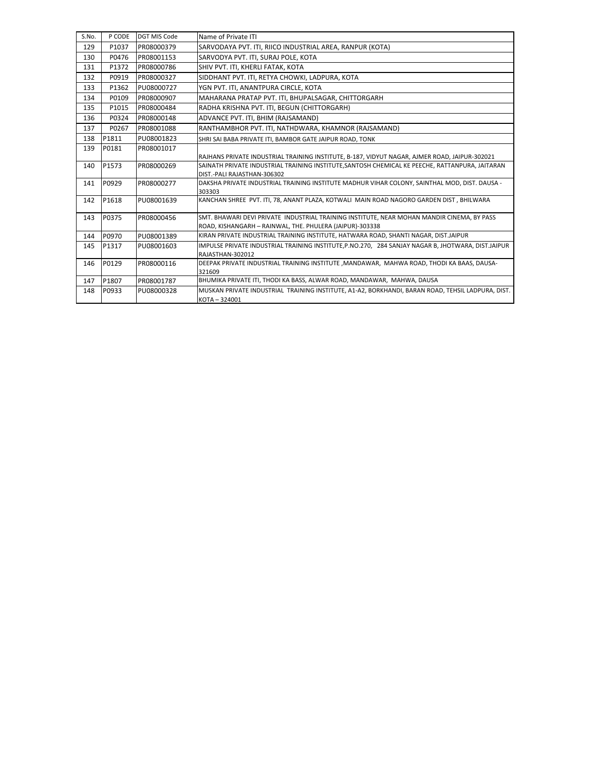| S.No. | P CODE | <b>DGT MIS Code</b> | Name of Private ITI                                                                                |
|-------|--------|---------------------|----------------------------------------------------------------------------------------------------|
| 129   | P1037  | PR08000379          | SARVODAYA PVT. ITI, RIICO INDUSTRIAL AREA, RANPUR (KOTA)                                           |
| 130   | P0476  | PR08001153          | SARVODYA PVT. ITI, SURAJ POLE, KOTA                                                                |
| 131   | P1372  | PR08000786          | SHIV PVT. ITI, KHERLI FATAK, KOTA                                                                  |
| 132   | P0919  | PR08000327          | SIDDHANT PVT. ITI, RETYA CHOWKI, LADPURA, KOTA                                                     |
| 133   | P1362  | PU08000727          | YGN PVT. ITI, ANANTPURA CIRCLE, KOTA                                                               |
| 134   | P0109  | PR08000907          | MAHARANA PRATAP PVT. ITI, BHUPALSAGAR, CHITTORGARH                                                 |
| 135   | P1015  | PR08000484          | RADHA KRISHNA PVT. ITI. BEGUN (CHITTORGARH)                                                        |
| 136   | P0324  | PR08000148          | ADVANCE PVT. ITI, BHIM (RAJSAMAND)                                                                 |
| 137   | P0267  | PR08001088          | RANTHAMBHOR PVT. ITI, NATHDWARA, KHAMNOR (RAJSAMAND)                                               |
| 138   | P1811  | PU08001823          | SHRI SAI BABA PRIVATE ITI, BAMBOR GATE JAIPUR ROAD, TONK                                           |
| 139   | P0181  | PR08001017          |                                                                                                    |
|       |        |                     | RAJHANS PRIVATE INDUSTRIAL TRAINING INSTITUTE, B-187, VIDYUT NAGAR, AJMER ROAD, JAIPUR-302021      |
| 140   | P1573  | PR08000269          | SAINATH PRIVATE INDUSTRIAL TRAINING INSTITUTE, SANTOSH CHEMICAL KE PEECHE, RATTANPURA, JAITARAN    |
|       |        |                     | DIST.-PALI RAJASTHAN-306302                                                                        |
| 141   | P0929  | PR08000277          | DAKSHA PRIVATE INDUSTRIAL TRAINING INSTITUTE MADHUR VIHAR COLONY, SAINTHAL MOD, DIST. DAUSA -      |
|       |        |                     | 303303                                                                                             |
| 142   | P1618  | PU08001639          | KANCHAN SHREE PVT. ITI, 78, ANANT PLAZA, KOTWALI MAIN ROAD NAGORO GARDEN DIST, BHILWARA            |
| 143   | P0375  | PR08000456          | SMT. BHAWARI DEVI PRIVATE INDUSTRIAL TRAINING INSTITUTE, NEAR MOHAN MANDIR CINEMA, BY PASS         |
|       |        |                     | ROAD, KISHANGARH - RAINWAL, THE. PHULERA (JAIPUR)-303338                                           |
| 144   | P0970  | PU08001389          | KIRAN PRIVATE INDUSTRIAL TRAINING INSTITUTE, HATWARA ROAD, SHANTI NAGAR, DIST.JAIPUR               |
| 145   | P1317  | PU08001603          | IMPULSE PRIVATE INDUSTRIAL TRAINING INSTITUTE, P.NO.270, 284 SANJAY NAGAR B, JHOTWARA, DIST.JAIPUR |
|       |        |                     | RAJASTHAN-302012                                                                                   |
| 146   | P0129  | PR08000116          | DEEPAK PRIVATE INDUSTRIAL TRAINING INSTITUTE , MANDAWAR, MAHWA ROAD, THODI KA BAAS, DAUSA-         |
|       |        |                     | 321609                                                                                             |
| 147   | P1807  | PR08001787          | BHUMIKA PRIVATE ITI, THODI KA BASS, ALWAR ROAD, MANDAWAR, MAHWA, DAUSA                             |
| 148   | P0933  | PU08000328          | MUSKAN PRIVATE INDUSTRIAL TRAINING INSTITUTE, A1-A2, BORKHANDI, BARAN ROAD, TEHSIL LADPURA, DIST.  |
|       |        |                     | KOTA-324001                                                                                        |